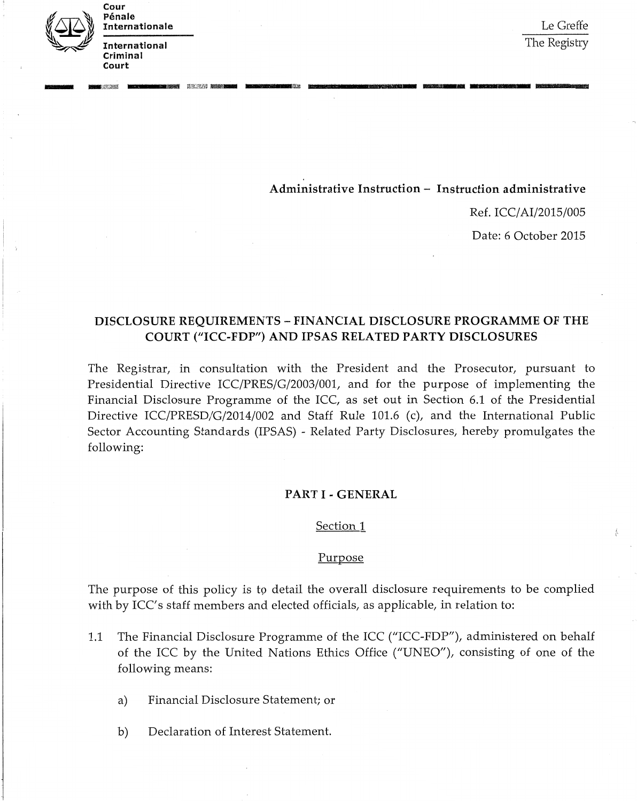

International Criminal Cour Pénale nternationale

Court

Le Greffe The Registry

Administrative Instruction - Instruction administrative

**...............**.............-•....**.....**....... ---~

Ref. *ICCjAIj2015j005*

Date: 6 October 2015

# DISCLOSURE REQUIREMENTS - FINANCIAL DISCLOSURE PROGRAMME OF THE COURT ("ICC-FDP") AND IPSAS RELATED PARTY DISCLOSURES

The Registrar, in consultation with the President and the Prosecutor, pursuant to Presidential Directive *ICCjPRESjGj2003j001,* and for the purpose of implementing the Financial Disclosure Programme of the ICC, as set out in Section 6.1 of the Presidential Directive *ICCjPRESDjGj2014j002* and Staff Rule 101.6 (c), and the International Public Sector Accounting Standards (IPSAS) - Related Party Disclosures, hereby promulgates the following:

### PART I - GENERAL

#### Section 1

#### Purpose

The purpose of this policy is to detail the overall disclosure requirements to be complied with by ICC's staff members and elected officials, as applicable, in relation to:

- 1.1 The Financial Disclosure Programme of the ICC ("ICC-FDP"), administered on behalf of the ICC by the United Nations Ethics Office *("UNEO"),* consisting of one of the following means:
	- a) Financial Disclosure Statement; or
	- b) Declaration of Interest Statement.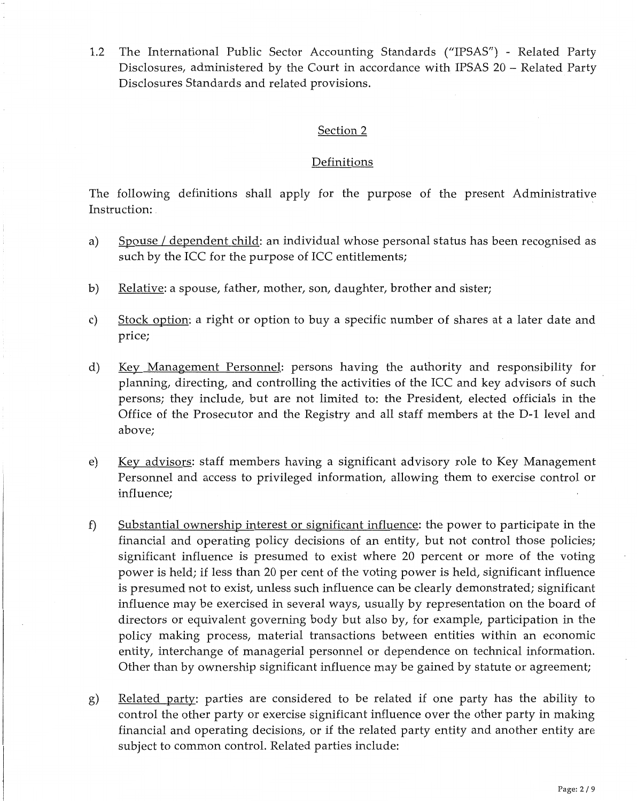1.2 The International Public Sector Accounting Standards *("IPSASfI) -* Related Party Disclosures, administered by the Court in accordance with IPSAS 20 - Related Party Disclosures Standards and related provisions.

### Section 2

### Definitions

The following definitions shall apply for the purpose of the present Administrative Instruction:

- a) Spouse / dependent child: an individual whose personal status has been recognised as such by the ICC for the purpose of ICC entitlements;
- b) Relative: a spouse, father, mother, son, daughter, brother and sister;
- c) Stock option: a right or option to buy a specific number of shares at a later date and price;
- d) Key Management Personnel: persons having the authority and responsibility for planning, directing, and controlling the activities of the ICC and key advisors of such persons; they include, but are not limited *to:* the President, elected officials in the Office of the Prosecutor and the Registry and all staff members at the D-1 level and above;
- e) Key advisors: staff members having a significant advisory role to Key Management Personnel and access to privileged information, allowing them to exercise control or influence;
- f) Substantial ownership interest or significant influence: the power to participate in the financial and operating policy decisions of an entity, but not control those policies; significant influence is presumed to exist where 20 percent or more of the voting power is held; if less than 20 per cent of the voting power is held, significant influence is presumed not to exist, unless such influence can be clearly demonstrated; significant influence may be exercised in several ways, usually by representation on the board of directors or equivalent governing body but also by, for example, participation in the policy making process, material transactions between entities within an economic entity, interchange of managerial personnel or dependence on technical information. Other than by ownership significant influence may be gained by statute or agreement;
- g) Related party: parties are considered to be related if one party has the ability to control the other party or exercise significant influence over the other party in making financial and operating decisions, or if the related party entity and another entity are subject to common control. Related parties include: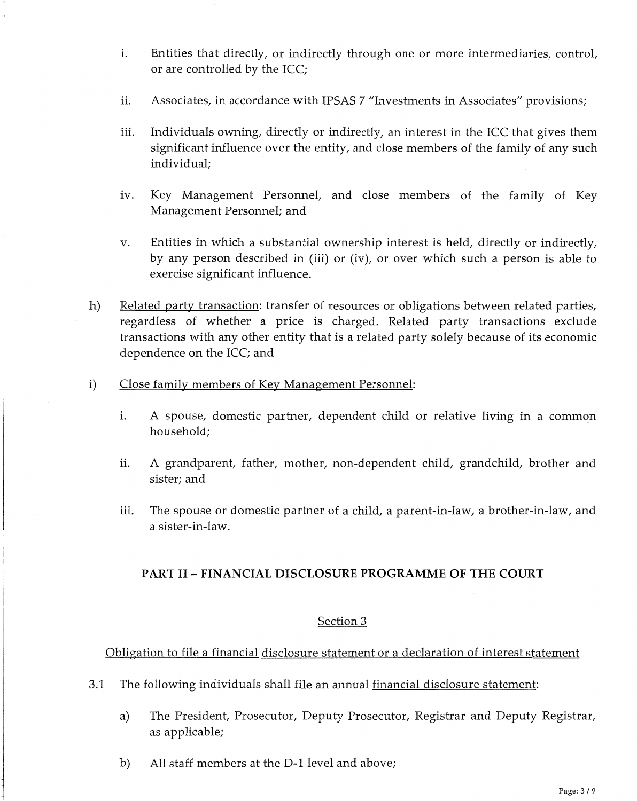- i. Entities that directly, or indirectly through one or more intermediaries, control, or are controlled by the ICC;
- ii. Associates, in accordance with IPSAS 7 "Investments in Associates" provisions;
- iii. Individuals owning, directly or indirectly, an interest in the ICC that gives them significant influence over the entity, and close members of the family of any such individual;
- iv. Key Management Personnel, and close members of the family of Key Management Personnel; and
- v. Entities in which a substantial ownership interest is held, directly or indirectly, by any person described in (iii) or (iv), or over which such a person is able to exercise significant influence.
- h) Related party transaction: transfer of resources or obligations between related parties, regardless of whether a price is charged. Related party transactions exclude transactions with any other entity that is a related party solely because of its economic dependence on the ICC; and
- i) Close family members of Key Management Personnel:
	- i. A spouse, domestic partner, dependent child or relative living in a common household;
	- ii. A grandparent, father, mother, non-dependent child, grandchild, brother and sister; and
	- iii. The spouse or domestic partner of a child, a parent-in-law, a brother-in-law, and a sister-in-law.

# **PART II - FINANCIAL DISCLOSURE PROGRAMME OF THE COURT**

# Section 3

Obligation to file a financial disclosure statement or a declaration of interest statement

- 3.1 The following individuals shall file an annual financial disclosure statement:
	- a) The President, Prosecutor, Deputy Prosecutor, Registrar and Deputy Registrar, as applicable;
	- b) All staff members at the D-1 level and above;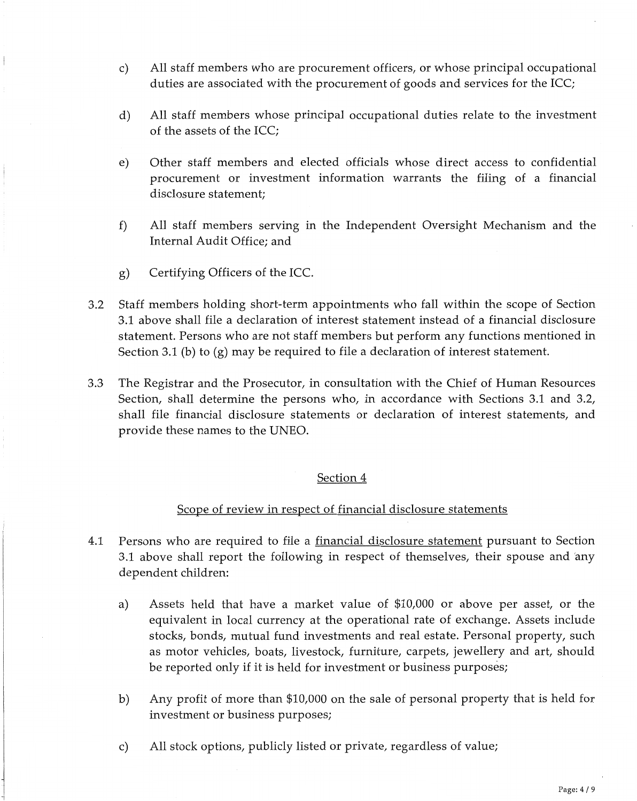- c) All staff members who are procurement officers, or whose principal occupational duties are associated with the procurement of goods and services for the ICC;
- d) All staff members whose principal occupational duties relate to the investment of the assets of the ICC;
- e) Other staff members and elected officials whose direct access to confidential procurement or investment information warrants the filing of a financial disclosure statement;
- f) All staff members serving in the Independent Oversight Mechanism and the Internal Audit Office; and
- g) Certifying Officers of the ICC.
- 3.2 Staff members holding short-term appointments who fall within the scope of Section 3.1 above shall file a declaration of interest statement instead of a financial disclosure statement. Persons who are not staff members but perform any functions mentioned in Section 3.1 (b) to (g) may be required to file a declaration of interest statement.
- 3.3 The Registrar and the Prosecutor, in consultation with the Chief of Human Resources Section, shall determine the persons who, in accordance with Sections 3.1 and 3.2, shall file financial disclosure statements or declaration of interest statements, and provide these names to the UNEO.

## Section 4

## Scope of review in respect of financial disclosure statements

- 4.1 Persons who are required to file a financial disclosure statement pursuant to Section 3.1 above shall report the following in respect of themselves, their spouse and 'any dependent children:
	- a) Assets held that have a market value of \$10,000 or above per asset, or the equivalent in local currency at the operational rate of exchange. Assets include stocks, bonds, mutual fund investments and real estate. Personal property, such as motor vehicles, boats, livestock, furniture, carpets, jewellery and art, should be reported only if it is held for investment or business purposes;
	- b) Any profit of more than \$10,000 on the sale of personal property that is held for investment or business purposes;
	- c) All stock options, publicly listed or private, regardless of value;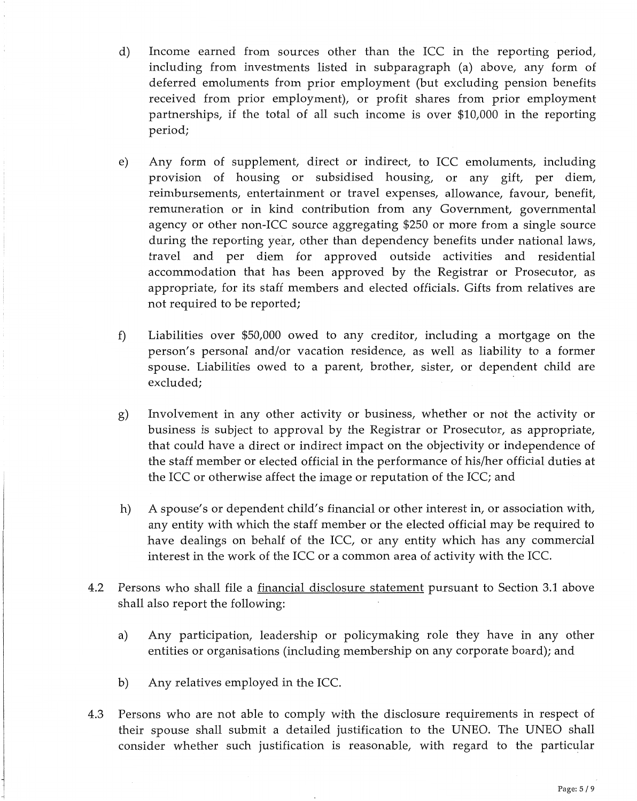- d) Income earned from sources other than the ICC in the reporting period, including from investments listed in subparagraph (a) above, any form of deferred emoluments from prior employment (but excluding pension benefits received from prior employment), or profit shares from prior employment partnerships, if the total of all such income is over \$10,000 in the reporting period;
- e) Any form of supplement, direct or indirect, to ICC emoluments, including provision of housing or subsidised housing, or any gift, per diem, reimbursements, entertainment or travel expenses, allowance, favour, benefit, remuneration or in kind contribution from any Government, governmental agency or other non-ICC source aggregating \$250 or more from a single source during the reporting year, other than dependency benefits under national laws, travel and per diem for approved outside activities and residential accommodation that has been approved by the Registrar or Prosecutor, as appropriate, for its staff members and elected officials. Gifts from relatives are not required to be reported;
- f) Liabilities over \$50,000 owed to any creditor, including a mortgage on the person's personal and/or vacation residence, as well as liability to a former spouse. Liabilities owed to a parent, brother, sister, or dependent child are excluded;
- g) Involvement in any other activity or business, whether or not the activity or business is subject to approval by the Registrar or Prosecutor, as appropriate, that could have a direct or indirect impact on the objectivity or independence of the staff member or elected official in the performance of his/her official duties at the ICC or otherwise affect the image or reputation of the ICC; and
- h) A spouse's or dependent child's financial or other interest in, or association with, any entity with which the staff member or the elected official may be required to have dealings on behalf of the ICC, or any entity which has any commercial interest in the work of the ICC or a common area of activity with the ICC.
- 4.2 Persons who shall file a financial disclosure statement pursuant to Section 3.1 above shall also report the following:
	- a) Any participation, leadership or policymaking role they have in any other entities or organisations (including membership on any corporate board); and
	- b) Any relatives employed in the ICC.
- 4.3 Persons who are not able to comply with the disclosure requirements in respect of their spouse shall submit a detailed justification to the UNEO. The UNEO shall consider whether such justification is reasonable, with regard to the particular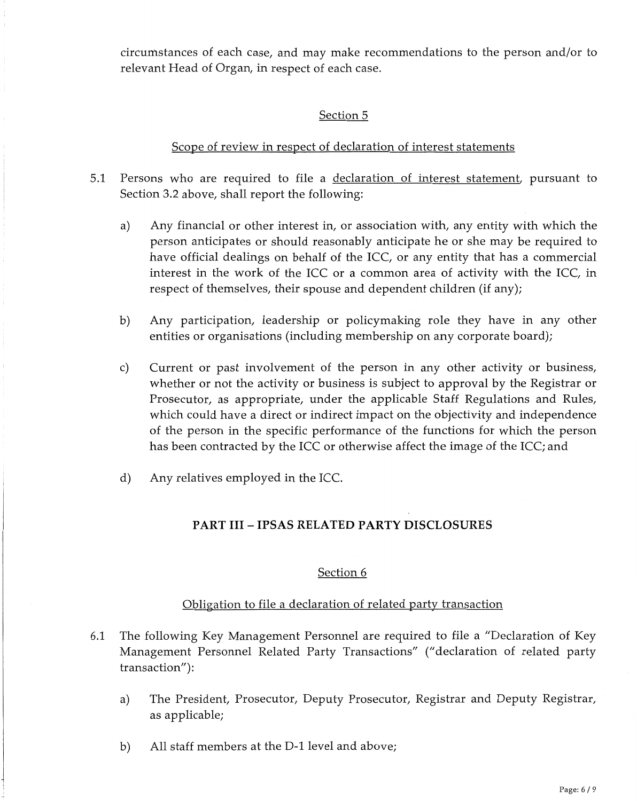circumstances of each case, and may make recommendations to the person and/or to relevant Head of Organ, in respect of each case.

# Section 5

# Scope of review in respect of declaration of interest statements

- 5.1 Persons who are required to file a declaration of interest statement, pursuant to Section 3.2 above, shall report the following:
	- a) Any financial or other interest in, or association with, any entity with which the person anticipates or should reasonably anticipate he or she may be required to have official dealings on behalf of the ICC, or any entity that has a commercial interest in the work of the ICC or a common area of activity with the ICC, in respect of themselves, their spouse and dependent children (if any);
	- b) Any participation, leadership or policymaking role they have in any other entities or organisations (including membership on any corporate board);
	- c) Current or past involvement of the person in any other activity or business, whether or not the activity or business is subject to approval by the Registrar or Prosecutor, as appropriate, under the applicable Staff Regulations and Rules, which could have a direct or indirect impact on the objectivity and independence of the person in the specific performance of the functions for which the person has been contracted by the ICC or otherwise affect the image of the ICC; and
	- d) Any relatives employed in the ICC.

# **PART III - IPSAS RELATED PARTY DISCLOSURES**

# Section 6

# Obligation to file a declaration of related party transaction

- 6.1 The following Key Management Personnel are required to file a "Declaration of Key Management Personnel Related Party Transactions" ("declaration of related party transaction"):
	- a) The President, Prosecutor, Deputy Prosecutor, Registrar and Deputy Registrar, as applicable;
	- b) All staff members at the D-1 level and above;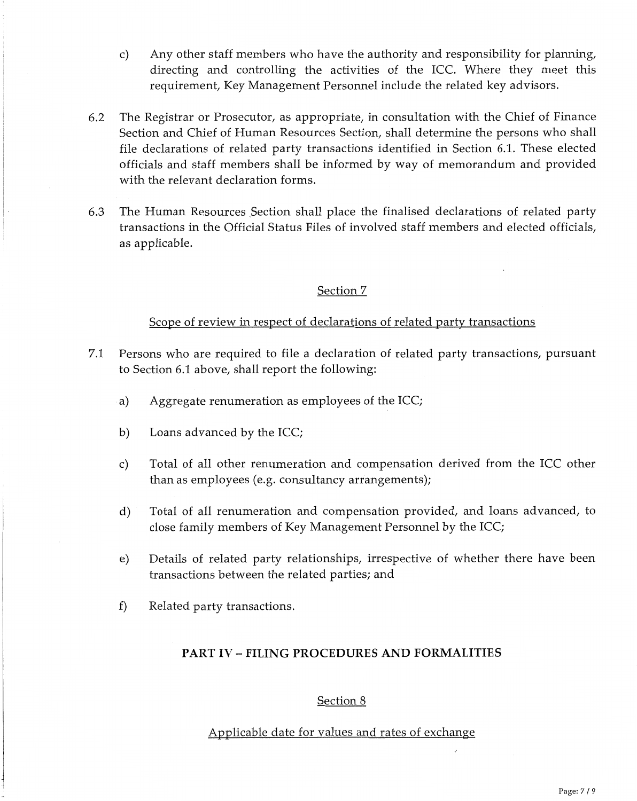- c) Any other staff members who have the authority and responsibility for planning, directing and controlling the activities of the ICC. Where they meet this requirement, Key Management Personnel include the related key advisors.
- 6.2 The Registrar or Prosecutor, as appropriate, in consultation with the Chief of Finance Section and Chief of Human Resources Section, shall determine the persons who shall file declarations of related party transactions identified in Section 6.1. These elected officials and staff members shall be informed by way of memorandum and provided with the relevant declaration forms.
- 6.3 The Human Resources Section shall place the finalised declarations of related party transactions in the Official Status Files of involved staff members and elected officials, as applicable.

## Section 7

## Scope of review in respect of declarations of related party transactions

- 7.1 Persons who are required to file a declaration of related party transactions, pursuant to Section 6.1 above, shall report the following:
	- a) Aggregate renumeration as employees of the ICC;
	- b) Loans advanced by the ICC;
	- c) Total of all other renumeration and compensation derived from the ICC other than as employees (e.g. consultancy arrangements);
	- d) Total of all renumeration and compensation provided, and loans advanced, to close family members of Key Management Personnel by the ICC;
	- e) Details of related party relationships, irrespective of whether there have been transactions between the related parties; and
	- f) Related party transactions.

## **PART IV - FILING PROCEDURES AND FORMALITIES**

### Section 8

## Applicable date for values and rates of exchange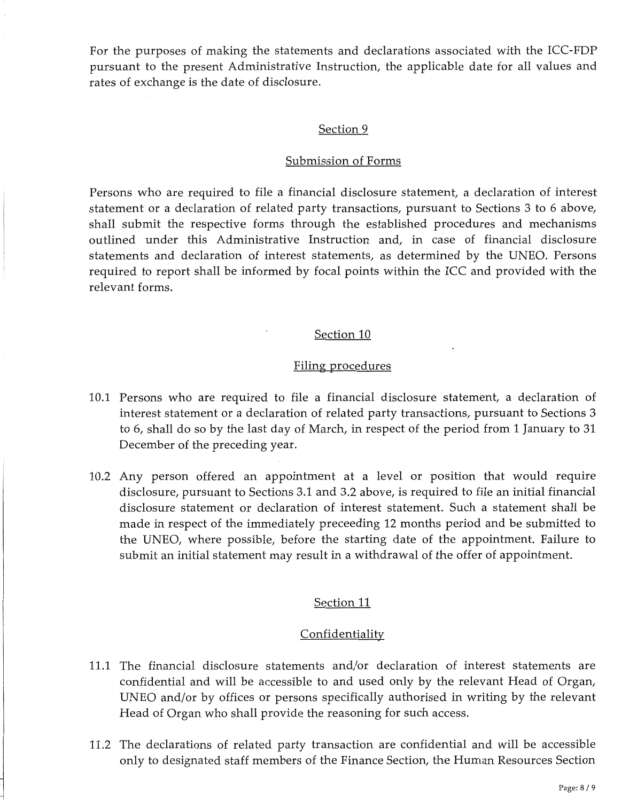For the purposes of making the statements and declarations associated with the ICC-FDP pursuant to the present Administrative Instruction, the applicable date for all values and rates of exchange is the date of disclosure.

### Section 9

#### Submission of Forms

Persons who are required to file a financial disclosure statement, a declaration of interest statement or a declaration of related party transactions, pursuant to Sections 3 to 6 above, shall submit the respective forms through the established procedures and mechanisms outlined under this Administrative Instruction and, in case of financial disclosure statements and declaration of interest statements, as determined by the UNEO. Persons required to report shall be informed by focal points within the ICC and provided with the relevant forms.

#### Section 10

#### Filing procedures

- 10.1 Persons who are required to file a financial disclosure statement, a declaration of interest statement or a declaration of related party transactions, pursuant to Sections 3 to 6, shall do so by the last day of March, in respect of the period from 1 January to 31 December of the preceding year.
- 10.2 Any person offered an appointment at a level or position that would require disclosure, pursuant to Sections 3.1 and 3.2 above, is required to file an initial financial disclosure statement or declaration of interest statement. Such a statement shall be made in respect of the immediately preceeding 12 months period and be submitted to the UNEO, where possible, before the starting date of the appointment. Failure to submit an initial statement may result in a withdrawal of the offer of appointment.

### Section 11

#### **Confidentiality**

- 11.1 The financial disclosure statements and/or declaration of interest statements are confidential and will be accessible to and used only by the relevant Head of Organ, UNEO and/or by offices or persons specifically authorised in writing by the relevant Head of Organ who shall provide the reasoning for such access.
- 11.2 The declarations of related party transaction are confidential and will be accessible only to designated staff members of the Finance Section, the Human Resources Section